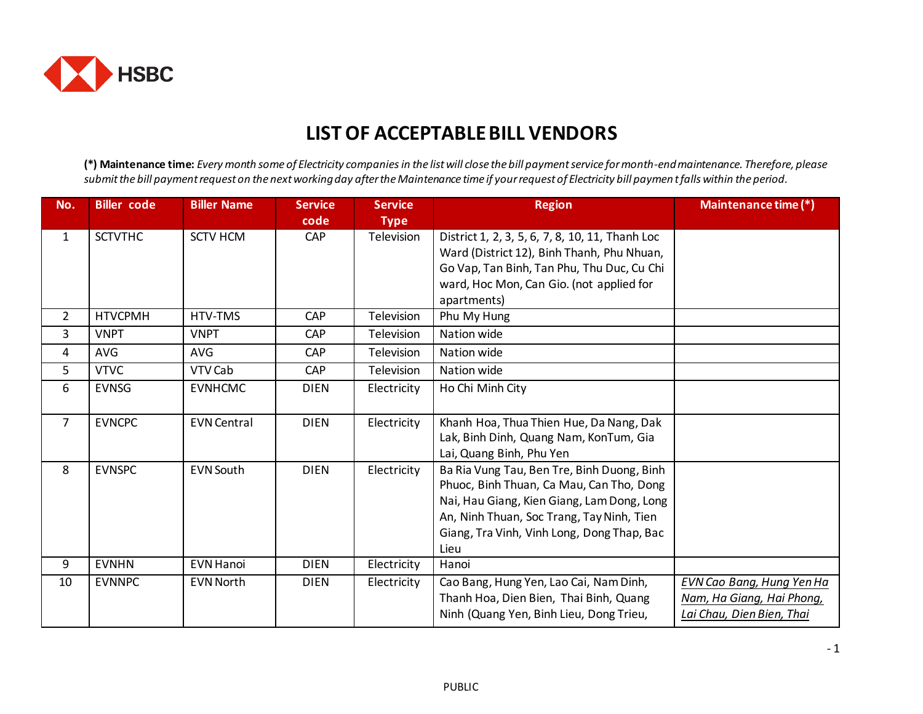

## **LIST OF ACCEPTABLE BILL VENDORS**

**(\*) Maintenance time:** *Every month some of Electricity companiesin the list will close the bill payment service for month-end maintenance. Therefore, please submit the bill payment request on the next working day after the Maintenance time if your request of Electricity bill paymen t falls within the period.* 

| No.            | <b>Biller</b> code | <b>Biller Name</b> | <b>Service</b><br>code | <b>Service</b><br><b>Type</b> | <b>Region</b>                                                                                                                                                                                                                           | Maintenance time (*)                                                                |
|----------------|--------------------|--------------------|------------------------|-------------------------------|-----------------------------------------------------------------------------------------------------------------------------------------------------------------------------------------------------------------------------------------|-------------------------------------------------------------------------------------|
| $\mathbf{1}$   | <b>SCTVTHC</b>     | <b>SCTV HCM</b>    | CAP                    | Television                    | District 1, 2, 3, 5, 6, 7, 8, 10, 11, Thanh Loc<br>Ward (District 12), Binh Thanh, Phu Nhuan,<br>Go Vap, Tan Binh, Tan Phu, Thu Duc, Cu Chi<br>ward, Hoc Mon, Can Gio. (not applied for<br>apartments)                                  |                                                                                     |
| $\overline{2}$ | <b>HTVCPMH</b>     | HTV-TMS            | CAP                    | Television                    | Phu My Hung                                                                                                                                                                                                                             |                                                                                     |
| 3              | <b>VNPT</b>        | <b>VNPT</b>        | CAP                    | Television                    | Nation wide                                                                                                                                                                                                                             |                                                                                     |
| 4              | <b>AVG</b>         | <b>AVG</b>         | CAP                    | Television                    | Nation wide                                                                                                                                                                                                                             |                                                                                     |
| 5              | <b>VTVC</b>        | VTV Cab            | CAP                    | <b>Television</b>             | Nation wide                                                                                                                                                                                                                             |                                                                                     |
| 6              | <b>EVNSG</b>       | <b>EVNHCMC</b>     | <b>DIEN</b>            | Electricity                   | Ho Chi Minh City                                                                                                                                                                                                                        |                                                                                     |
| $\overline{7}$ | <b>EVNCPC</b>      | <b>EVN Central</b> | <b>DIEN</b>            | Electricity                   | Khanh Hoa, Thua Thien Hue, Da Nang, Dak<br>Lak, Binh Dinh, Quang Nam, KonTum, Gia<br>Lai, Quang Binh, Phu Yen                                                                                                                           |                                                                                     |
| 8              | <b>EVNSPC</b>      | <b>EVN South</b>   | <b>DIEN</b>            | Electricity                   | Ba Ria Vung Tau, Ben Tre, Binh Duong, Binh<br>Phuoc, Binh Thuan, Ca Mau, Can Tho, Dong<br>Nai, Hau Giang, Kien Giang, Lam Dong, Long<br>An, Ninh Thuan, Soc Trang, Tay Ninh, Tien<br>Giang, Tra Vinh, Vinh Long, Dong Thap, Bac<br>Lieu |                                                                                     |
| 9              | <b>EVNHN</b>       | <b>EVN Hanoi</b>   | <b>DIEN</b>            | Electricity                   | Hanoi                                                                                                                                                                                                                                   |                                                                                     |
| 10             | <b>EVNNPC</b>      | <b>EVN North</b>   | <b>DIEN</b>            | Electricity                   | Cao Bang, Hung Yen, Lao Cai, Nam Dinh,<br>Thanh Hoa, Dien Bien, Thai Binh, Quang<br>Ninh (Quang Yen, Binh Lieu, Dong Trieu,                                                                                                             | EVN Cao Bang, Hung Yen Ha<br>Nam, Ha Giang, Hai Phong,<br>Lai Chau, Dien Bien, Thai |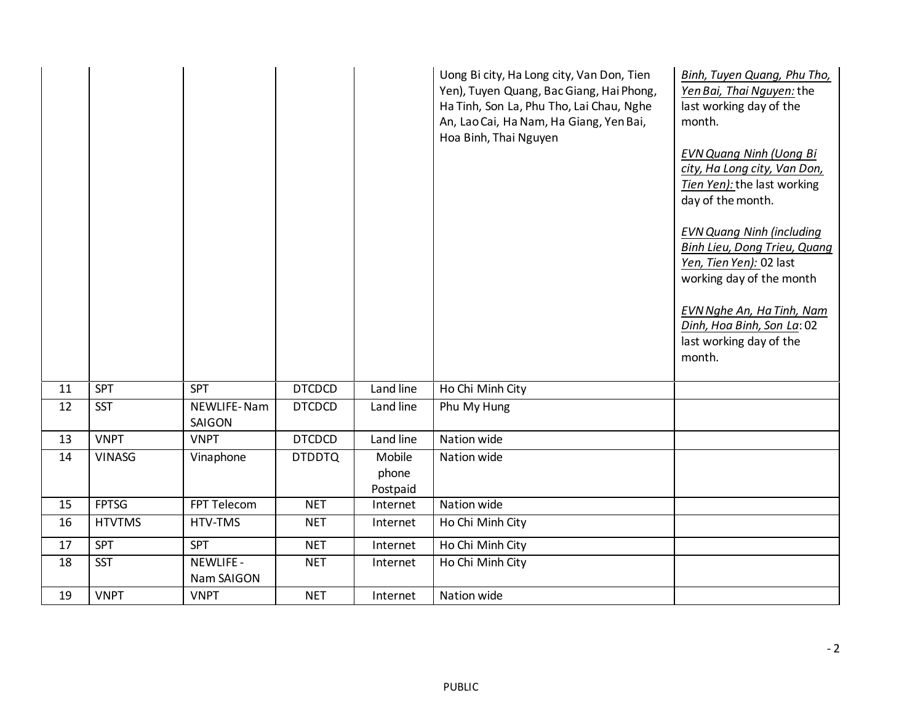|    |               |                         |               |                             | Uong Bi city, Ha Long city, Van Don, Tien<br>Yen), Tuyen Quang, Bac Giang, Hai Phong,<br>Ha Tinh, Son La, Phu Tho, Lai Chau, Nghe<br>An, Lao Cai, Ha Nam, Ha Giang, Yen Bai,<br>Hoa Binh, Thai Nguyen | Binh, Tuyen Quang, Phu Tho,<br>Yen Bai, Thai Nguyen: the<br>last working day of the<br>month.<br><b>EVN Quang Ninh (Uong Bi</b><br>city, Ha Long city, Van Don,<br>Tien Yen): the last working<br>day of the month.<br><b>EVN Quang Ninh (including</b><br><b>Binh Lieu, Dong Trieu, Quang</b><br>Yen, Tien Yen): 02 last<br>working day of the month<br><b>EVN Nghe An, Ha Tinh, Nam</b><br>Dinh, Hoa Binh, Son La: 02<br>last working day of the<br>month. |
|----|---------------|-------------------------|---------------|-----------------------------|-------------------------------------------------------------------------------------------------------------------------------------------------------------------------------------------------------|--------------------------------------------------------------------------------------------------------------------------------------------------------------------------------------------------------------------------------------------------------------------------------------------------------------------------------------------------------------------------------------------------------------------------------------------------------------|
| 11 | <b>SPT</b>    | <b>SPT</b>              | <b>DTCDCD</b> | Land line                   | Ho Chi Minh City                                                                                                                                                                                      |                                                                                                                                                                                                                                                                                                                                                                                                                                                              |
| 12 | <b>SST</b>    | NEWLIFE-Nam<br>SAIGON   | <b>DTCDCD</b> | Land line                   | Phu My Hung                                                                                                                                                                                           |                                                                                                                                                                                                                                                                                                                                                                                                                                                              |
| 13 | <b>VNPT</b>   | <b>VNPT</b>             | <b>DTCDCD</b> | Land line                   | Nation wide                                                                                                                                                                                           |                                                                                                                                                                                                                                                                                                                                                                                                                                                              |
| 14 | <b>VINASG</b> | Vinaphone               | <b>DTDDTQ</b> | Mobile<br>phone<br>Postpaid | Nation wide                                                                                                                                                                                           |                                                                                                                                                                                                                                                                                                                                                                                                                                                              |
| 15 | <b>FPTSG</b>  | FPT Telecom             | <b>NET</b>    | Internet                    | Nation wide                                                                                                                                                                                           |                                                                                                                                                                                                                                                                                                                                                                                                                                                              |
| 16 | <b>HTVTMS</b> | HTV-TMS                 | <b>NET</b>    | Internet                    | Ho Chi Minh City                                                                                                                                                                                      |                                                                                                                                                                                                                                                                                                                                                                                                                                                              |
| 17 | <b>SPT</b>    | <b>SPT</b>              | <b>NET</b>    | Internet                    | Ho Chi Minh City                                                                                                                                                                                      |                                                                                                                                                                                                                                                                                                                                                                                                                                                              |
| 18 | <b>SST</b>    | NEWLIFE -<br>Nam SAIGON | <b>NET</b>    | Internet                    | Ho Chi Minh City                                                                                                                                                                                      |                                                                                                                                                                                                                                                                                                                                                                                                                                                              |
| 19 | <b>VNPT</b>   | <b>VNPT</b>             | <b>NET</b>    | Internet                    | Nation wide                                                                                                                                                                                           |                                                                                                                                                                                                                                                                                                                                                                                                                                                              |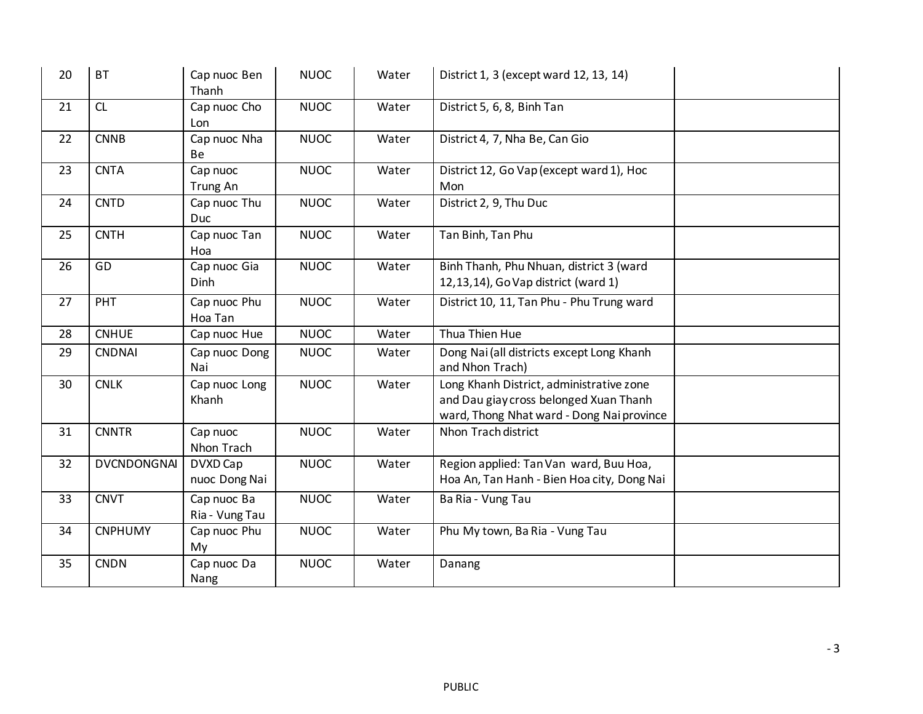| 20 | <b>BT</b>          | Cap nuoc Ben<br>Thanh         | <b>NUOC</b> | Water | District 1, 3 (except ward 12, 13, 14)                                                                                          |  |
|----|--------------------|-------------------------------|-------------|-------|---------------------------------------------------------------------------------------------------------------------------------|--|
| 21 | CL                 | Cap nuoc Cho<br>Lon           | <b>NUOC</b> | Water | District 5, 6, 8, Binh Tan                                                                                                      |  |
| 22 | <b>CNNB</b>        | Cap nuoc Nha<br>Be            | <b>NUOC</b> | Water | District 4, 7, Nha Be, Can Gio                                                                                                  |  |
| 23 | <b>CNTA</b>        | Cap nuoc<br>Trung An          | <b>NUOC</b> | Water | District 12, Go Vap (except ward 1), Hoc<br>Mon                                                                                 |  |
| 24 | <b>CNTD</b>        | Cap nuoc Thu<br>Duc           | <b>NUOC</b> | Water | District 2, 9, Thu Duc                                                                                                          |  |
| 25 | <b>CNTH</b>        | Cap nuoc Tan<br>Hoa           | <b>NUOC</b> | Water | Tan Binh, Tan Phu                                                                                                               |  |
| 26 | GD                 | Cap nuoc Gia<br>Dinh          | <b>NUOC</b> | Water | Binh Thanh, Phu Nhuan, district 3 (ward<br>12,13,14), Go Vap district (ward 1)                                                  |  |
| 27 | PHT                | Cap nuoc Phu<br>Hoa Tan       | <b>NUOC</b> | Water | District 10, 11, Tan Phu - Phu Trung ward                                                                                       |  |
| 28 | <b>CNHUE</b>       | Cap nuoc Hue                  | <b>NUOC</b> | Water | Thua Thien Hue                                                                                                                  |  |
| 29 | <b>CNDNAI</b>      | Cap nuoc Dong<br>Nai          | <b>NUOC</b> | Water | Dong Nai (all districts except Long Khanh<br>and Nhon Trach)                                                                    |  |
| 30 | <b>CNLK</b>        | Cap nuoc Long<br>Khanh        | <b>NUOC</b> | Water | Long Khanh District, administrative zone<br>and Dau giay cross belonged Xuan Thanh<br>ward, Thong Nhat ward - Dong Nai province |  |
| 31 | <b>CNNTR</b>       | Cap nuoc<br>Nhon Trach        | <b>NUOC</b> | Water | Nhon Trach district                                                                                                             |  |
| 32 | <b>DVCNDONGNAI</b> | DVXD Cap<br>nuoc Dong Nai     | <b>NUOC</b> | Water | Region applied: Tan Van ward, Buu Hoa,<br>Hoa An, Tan Hanh - Bien Hoa city, Dong Nai                                            |  |
| 33 | <b>CNVT</b>        | Cap nuoc Ba<br>Ria - Vung Tau | <b>NUOC</b> | Water | Ba Ria - Vung Tau                                                                                                               |  |
| 34 | <b>CNPHUMY</b>     | Cap nuoc Phu<br>My            | <b>NUOC</b> | Water | Phu My town, Ba Ria - Vung Tau                                                                                                  |  |
| 35 | <b>CNDN</b>        | Cap nuoc Da<br>Nang           | <b>NUOC</b> | Water | Danang                                                                                                                          |  |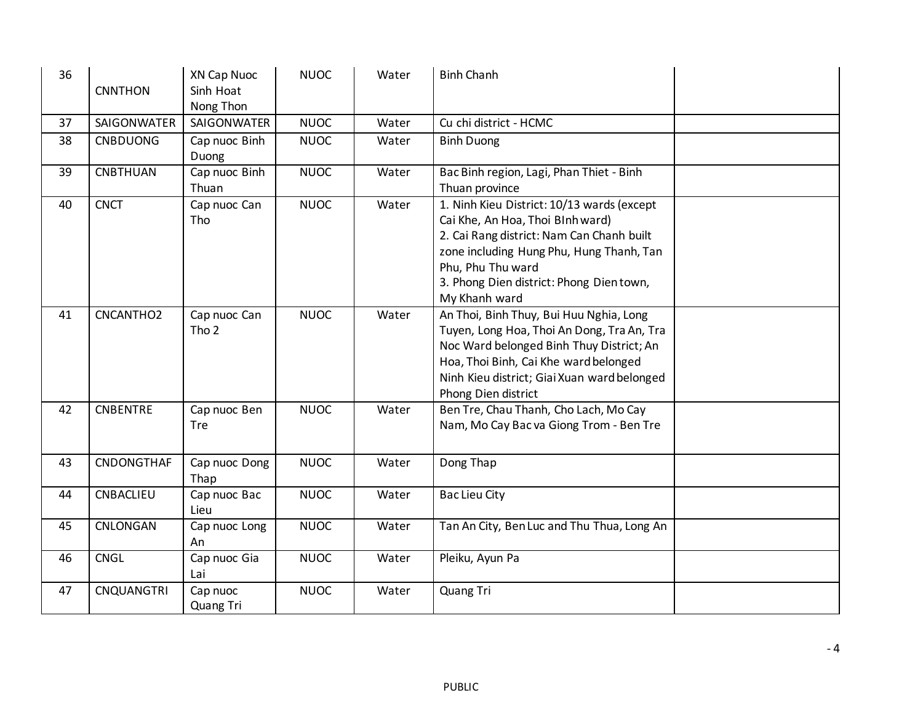| 36 | <b>CNNTHON</b>    | XN Cap Nuoc<br>Sinh Hoat<br>Nong Thon | <b>NUOC</b> | Water | <b>Binh Chanh</b>                                                                                                                                                                                                                                        |
|----|-------------------|---------------------------------------|-------------|-------|----------------------------------------------------------------------------------------------------------------------------------------------------------------------------------------------------------------------------------------------------------|
| 37 | SAIGONWATER       | <b>SAIGONWATER</b>                    | <b>NUOC</b> | Water | Cu chi district - HCMC                                                                                                                                                                                                                                   |
| 38 | <b>CNBDUONG</b>   | Cap nuoc Binh<br>Duong                | <b>NUOC</b> | Water | <b>Binh Duong</b>                                                                                                                                                                                                                                        |
| 39 | <b>CNBTHUAN</b>   | Cap nuoc Binh<br>Thuan                | <b>NUOC</b> | Water | Bac Binh region, Lagi, Phan Thiet - Binh<br>Thuan province                                                                                                                                                                                               |
| 40 | <b>CNCT</b>       | Cap nuoc Can<br>Tho                   | <b>NUOC</b> | Water | 1. Ninh Kieu District: 10/13 wards (except<br>Cai Khe, An Hoa, Thoi Blnh ward)<br>2. Cai Rang district: Nam Can Chanh built<br>zone including Hung Phu, Hung Thanh, Tan<br>Phu, Phu Thu ward<br>3. Phong Dien district: Phong Dientown,<br>My Khanh ward |
| 41 | CNCANTHO2         | Cap nuoc Can<br>Tho <sub>2</sub>      | <b>NUOC</b> | Water | An Thoi, Binh Thuy, Bui Huu Nghia, Long<br>Tuyen, Long Hoa, Thoi An Dong, Tra An, Tra<br>Noc Ward belonged Binh Thuy District; An<br>Hoa, Thoi Binh, Cai Khe ward belonged<br>Ninh Kieu district; Giai Xuan ward belonged<br>Phong Dien district         |
| 42 | <b>CNBENTRE</b>   | Cap nuoc Ben<br>Tre                   | <b>NUOC</b> | Water | Ben Tre, Chau Thanh, Cho Lach, Mo Cay<br>Nam, Mo Cay Bac va Giong Trom - Ben Tre                                                                                                                                                                         |
| 43 | CNDONGTHAF        | Cap nuoc Dong<br>Thap                 | <b>NUOC</b> | Water | Dong Thap                                                                                                                                                                                                                                                |
| 44 | CNBACLIEU         | Cap nuoc Bac<br>Lieu                  | <b>NUOC</b> | Water | <b>Bac Lieu City</b>                                                                                                                                                                                                                                     |
| 45 | CNLONGAN          | Cap nuoc Long<br>An                   | <b>NUOC</b> | Water | Tan An City, Ben Luc and Thu Thua, Long An                                                                                                                                                                                                               |
| 46 | <b>CNGL</b>       | Cap nuoc Gia<br>Lai                   | <b>NUOC</b> | Water | Pleiku, Ayun Pa                                                                                                                                                                                                                                          |
| 47 | <b>CNQUANGTRI</b> | Cap nuoc<br>Quang Tri                 | <b>NUOC</b> | Water | Quang Tri                                                                                                                                                                                                                                                |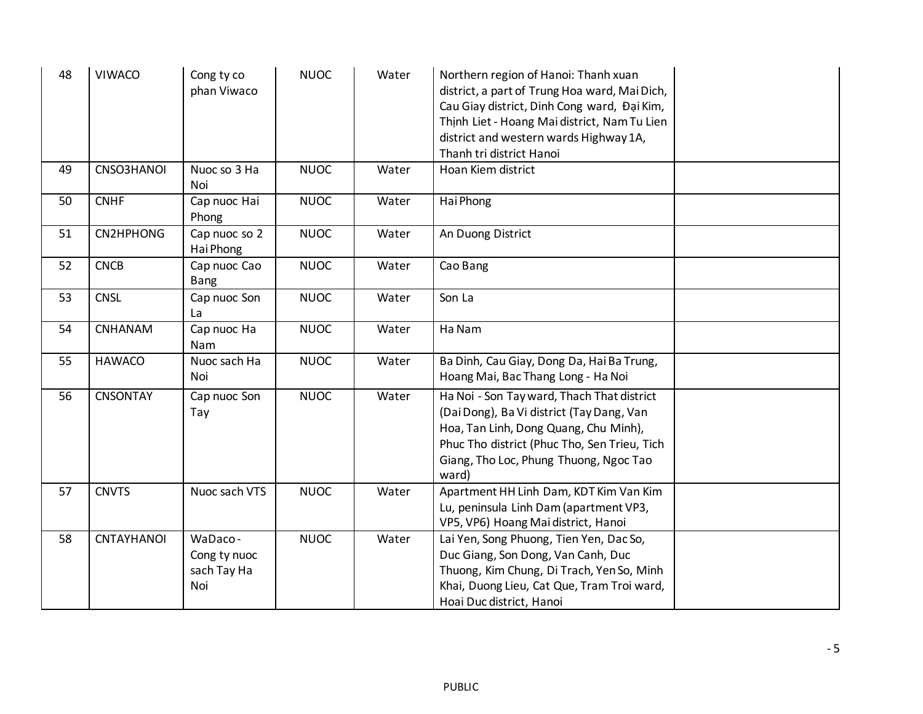| 48 | <b>VIWACO</b>     | Cong ty co<br>phan Viwaco                     | <b>NUOC</b> | Water | Northern region of Hanoi: Thanh xuan<br>district, a part of Trung Hoa ward, Mai Dich,<br>Cau Giay district, Dinh Cong ward, Đại Kim,<br>Thịnh Liet - Hoang Mai district, Nam Tu Lien<br>district and western wards Highway 1A,<br>Thanh tri district Hanoi |  |
|----|-------------------|-----------------------------------------------|-------------|-------|------------------------------------------------------------------------------------------------------------------------------------------------------------------------------------------------------------------------------------------------------------|--|
| 49 | CNSO3HANOI        | Nuoc so 3 Ha<br>Noi                           | <b>NUOC</b> | Water | Hoan Kiem district                                                                                                                                                                                                                                         |  |
| 50 | <b>CNHF</b>       | Cap nuoc Hai<br>Phong                         | <b>NUOC</b> | Water | Hai Phong                                                                                                                                                                                                                                                  |  |
| 51 | CN2HPHONG         | Cap nuoc so 2<br>Hai Phong                    | <b>NUOC</b> | Water | An Duong District                                                                                                                                                                                                                                          |  |
| 52 | <b>CNCB</b>       | Cap nuoc Cao<br>Bang                          | <b>NUOC</b> | Water | Cao Bang                                                                                                                                                                                                                                                   |  |
| 53 | <b>CNSL</b>       | Cap nuoc Son<br>La                            | <b>NUOC</b> | Water | Son La                                                                                                                                                                                                                                                     |  |
| 54 | <b>CNHANAM</b>    | Cap nuoc Ha<br>Nam                            | <b>NUOC</b> | Water | Ha Nam                                                                                                                                                                                                                                                     |  |
| 55 | <b>HAWACO</b>     | Nuoc sach Ha<br>Noi                           | <b>NUOC</b> | Water | Ba Dinh, Cau Giay, Dong Da, Hai Ba Trung,<br>Hoang Mai, Bac Thang Long - Ha Noi                                                                                                                                                                            |  |
| 56 | <b>CNSONTAY</b>   | Cap nuoc Son<br>Tay                           | <b>NUOC</b> | Water | Ha Noi - Son Tay ward, Thach That district<br>(Dai Dong), Ba Vi district (Tay Dang, Van<br>Hoa, Tan Linh, Dong Quang, Chu Minh),<br>Phuc Tho district (Phuc Tho, Sen Trieu, Tich<br>Giang, Tho Loc, Phung Thuong, Ngoc Tao<br>ward)                        |  |
| 57 | <b>CNVTS</b>      | Nuoc sach VTS                                 | <b>NUOC</b> | Water | Apartment HH Linh Dam, KDT Kim Van Kim<br>Lu, peninsula Linh Dam (apartment VP3,<br>VP5, VP6) Hoang Mai district, Hanoi                                                                                                                                    |  |
| 58 | <b>CNTAYHANOI</b> | WaDaco-<br>Cong ty nuoc<br>sach Tay Ha<br>Noi | <b>NUOC</b> | Water | Lai Yen, Song Phuong, Tien Yen, Dac So,<br>Duc Giang, Son Dong, Van Canh, Duc<br>Thuong, Kim Chung, Di Trach, Yen So, Minh<br>Khai, Duong Lieu, Cat Que, Tram Troi ward,<br>Hoai Duc district, Hanoi                                                       |  |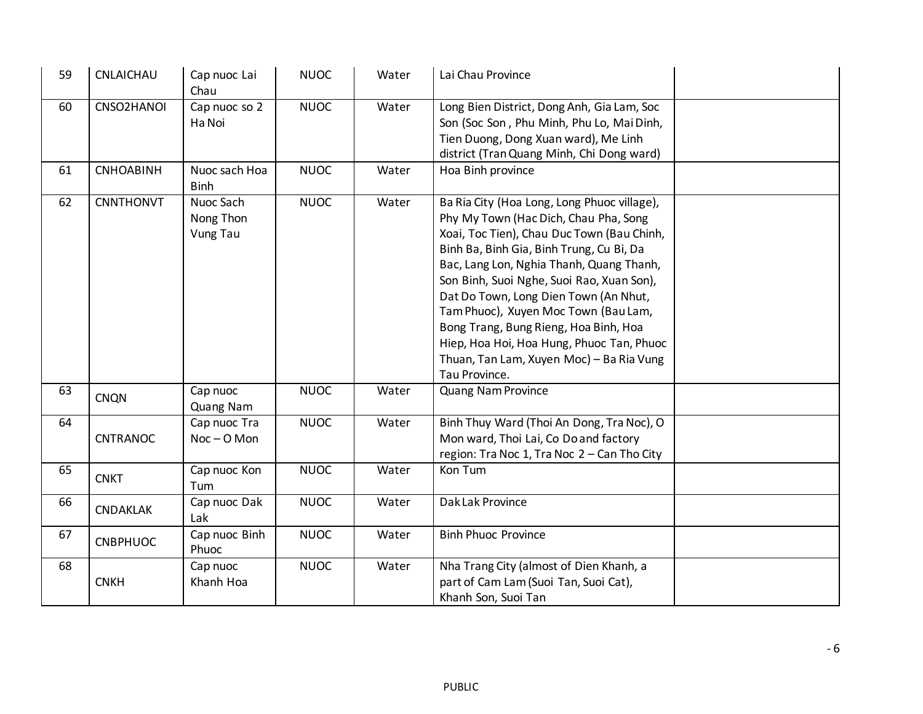| 59 | CNLAICHAU        | Cap nuoc Lai<br>Chau                      | <b>NUOC</b> | Water | Lai Chau Province                                                                                                                                                                                                                                                                                                                                                                                                                                                                                           |  |
|----|------------------|-------------------------------------------|-------------|-------|-------------------------------------------------------------------------------------------------------------------------------------------------------------------------------------------------------------------------------------------------------------------------------------------------------------------------------------------------------------------------------------------------------------------------------------------------------------------------------------------------------------|--|
| 60 | CNSO2HANOI       | Cap nuoc so 2<br>Ha Noi                   | <b>NUOC</b> | Water | Long Bien District, Dong Anh, Gia Lam, Soc<br>Son (Soc Son, Phu Minh, Phu Lo, Mai Dinh,<br>Tien Duong, Dong Xuan ward), Me Linh<br>district (Tran Quang Minh, Chi Dong ward)                                                                                                                                                                                                                                                                                                                                |  |
| 61 | <b>CNHOABINH</b> | Nuoc sach Hoa<br><b>Binh</b>              | <b>NUOC</b> | Water | Hoa Binh province                                                                                                                                                                                                                                                                                                                                                                                                                                                                                           |  |
| 62 | <b>CNNTHONVT</b> | Nuoc Sach<br>Nong Thon<br><b>Vung Tau</b> | <b>NUOC</b> | Water | Ba Ria City (Hoa Long, Long Phuoc village),<br>Phy My Town (Hac Dich, Chau Pha, Song<br>Xoai, Toc Tien), Chau Duc Town (Bau Chinh,<br>Binh Ba, Binh Gia, Binh Trung, Cu Bi, Da<br>Bac, Lang Lon, Nghia Thanh, Quang Thanh,<br>Son Binh, Suoi Nghe, Suoi Rao, Xuan Son),<br>Dat Do Town, Long Dien Town (An Nhut,<br>Tam Phuoc), Xuyen Moc Town (Bau Lam,<br>Bong Trang, Bung Rieng, Hoa Binh, Hoa<br>Hiep, Hoa Hoi, Hoa Hung, Phuoc Tan, Phuoc<br>Thuan, Tan Lam, Xuyen Moc) - Ba Ria Vung<br>Tau Province. |  |
| 63 | <b>CNQN</b>      | Cap nuoc<br>Quang Nam                     | <b>NUOC</b> | Water | Quang Nam Province                                                                                                                                                                                                                                                                                                                                                                                                                                                                                          |  |
| 64 | CNTRANOC         | Cap nuoc Tra<br>$Noc - O$ Mon             | <b>NUOC</b> | Water | Binh Thuy Ward (Thoi An Dong, Tra Noc), O<br>Mon ward, Thoi Lai, Co Do and factory<br>region: Tra Noc 1, Tra Noc 2 - Can Tho City                                                                                                                                                                                                                                                                                                                                                                           |  |
| 65 | <b>CNKT</b>      | Cap nuoc Kon<br>Tum                       | <b>NUOC</b> | Water | Kon Tum                                                                                                                                                                                                                                                                                                                                                                                                                                                                                                     |  |
| 66 | <b>CNDAKLAK</b>  | Cap nuoc Dak<br>Lak                       | <b>NUOC</b> | Water | Dak Lak Province                                                                                                                                                                                                                                                                                                                                                                                                                                                                                            |  |
| 67 | <b>CNBPHUOC</b>  | Cap nuoc Binh<br>Phuoc                    | <b>NUOC</b> | Water | <b>Binh Phuoc Province</b>                                                                                                                                                                                                                                                                                                                                                                                                                                                                                  |  |
| 68 | <b>CNKH</b>      | Cap nuoc<br>Khanh Hoa                     | <b>NUOC</b> | Water | Nha Trang City (almost of Dien Khanh, a<br>part of Cam Lam (Suoi Tan, Suoi Cat),<br>Khanh Son, Suoi Tan                                                                                                                                                                                                                                                                                                                                                                                                     |  |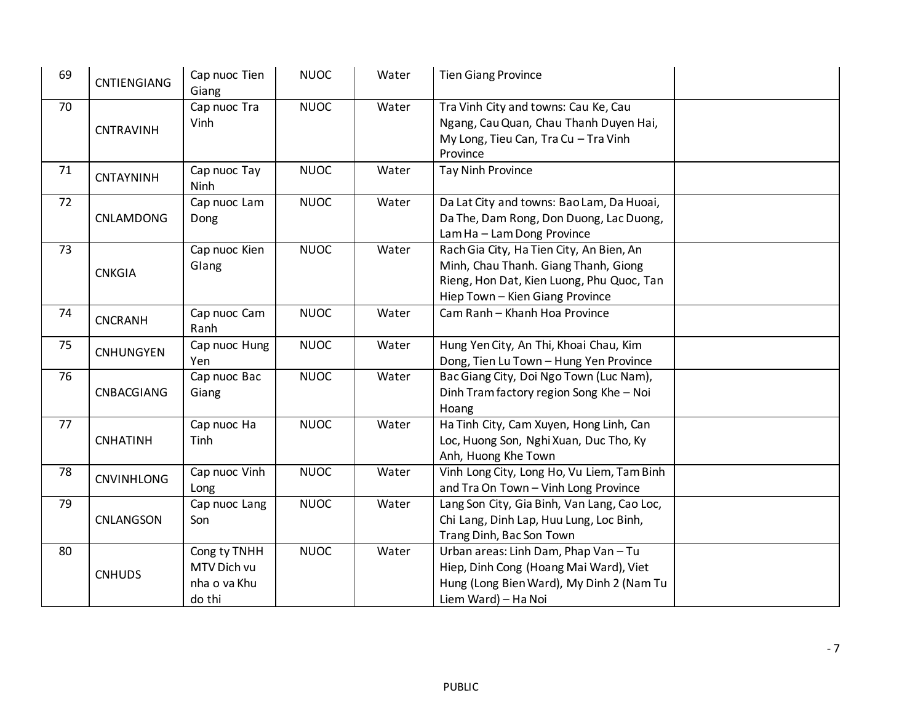| 69 | <b>CNTIENGIANG</b> | Cap nuoc Tien<br>Giang                                | <b>NUOC</b> | Water | <b>Tien Giang Province</b>                                                                                                                                       |  |
|----|--------------------|-------------------------------------------------------|-------------|-------|------------------------------------------------------------------------------------------------------------------------------------------------------------------|--|
| 70 | <b>CNTRAVINH</b>   | Cap nuoc Tra<br>Vinh                                  | <b>NUOC</b> | Water | Tra Vinh City and towns: Cau Ke, Cau<br>Ngang, Cau Quan, Chau Thanh Duyen Hai,<br>My Long, Tieu Can, Tra Cu - Tra Vinh<br>Province                               |  |
| 71 | CNTAYNINH          | Cap nuoc Tay<br>Ninh                                  | <b>NUOC</b> | Water | <b>Tay Ninh Province</b>                                                                                                                                         |  |
| 72 | CNLAMDONG          | Cap nuoc Lam<br>Dong                                  | <b>NUOC</b> | Water | Da Lat City and towns: Bao Lam, Da Huoai,<br>Da The, Dam Rong, Don Duong, Lac Duong,<br>Lam Ha - Lam Dong Province                                               |  |
| 73 | <b>CNKGIA</b>      | Cap nuoc Kien<br>Glang                                | <b>NUOC</b> | Water | Rach Gia City, Ha Tien City, An Bien, An<br>Minh, Chau Thanh. Giang Thanh, Giong<br>Rieng, Hon Dat, Kien Luong, Phu Quoc, Tan<br>Hiep Town - Kien Giang Province |  |
| 74 | <b>CNCRANH</b>     | Cap nuoc Cam<br>Ranh                                  | <b>NUOC</b> | Water | Cam Ranh - Khanh Hoa Province                                                                                                                                    |  |
| 75 | <b>CNHUNGYEN</b>   | Cap nuoc Hung<br>Yen                                  | <b>NUOC</b> | Water | Hung Yen City, An Thi, Khoai Chau, Kim<br>Dong, Tien Lu Town - Hung Yen Province                                                                                 |  |
| 76 | CNBACGIANG         | Cap nuoc Bac<br>Giang                                 | <b>NUOC</b> | Water | Bac Giang City, Doi Ngo Town (Luc Nam),<br>Dinh Tram factory region Song Khe - Noi<br>Hoang                                                                      |  |
| 77 | <b>CNHATINH</b>    | Cap nuoc Ha<br>Tinh                                   | <b>NUOC</b> | Water | Ha Tinh City, Cam Xuyen, Hong Linh, Can<br>Loc, Huong Son, Nghi Xuan, Duc Tho, Ky<br>Anh, Huong Khe Town                                                         |  |
| 78 | <b>CNVINHLONG</b>  | Cap nuoc Vinh<br>Long                                 | <b>NUOC</b> | Water | Vinh Long City, Long Ho, Vu Liem, Tam Binh<br>and Tra On Town - Vinh Long Province                                                                               |  |
| 79 | CNLANGSON          | Cap nuoc Lang<br>Son                                  | <b>NUOC</b> | Water | Lang Son City, Gia Binh, Van Lang, Cao Loc,<br>Chi Lang, Dinh Lap, Huu Lung, Loc Binh,<br>Trang Dinh, Bac Son Town                                               |  |
| 80 | <b>CNHUDS</b>      | Cong ty TNHH<br>MTV Dich vu<br>nha o va Khu<br>do thi | <b>NUOC</b> | Water | Urban areas: Linh Dam, Phap Van - Tu<br>Hiep, Dinh Cong (Hoang Mai Ward), Viet<br>Hung (Long Bien Ward), My Dinh 2 (Nam Tu<br>Liem Ward) - Ha Noi                |  |

PUBLIC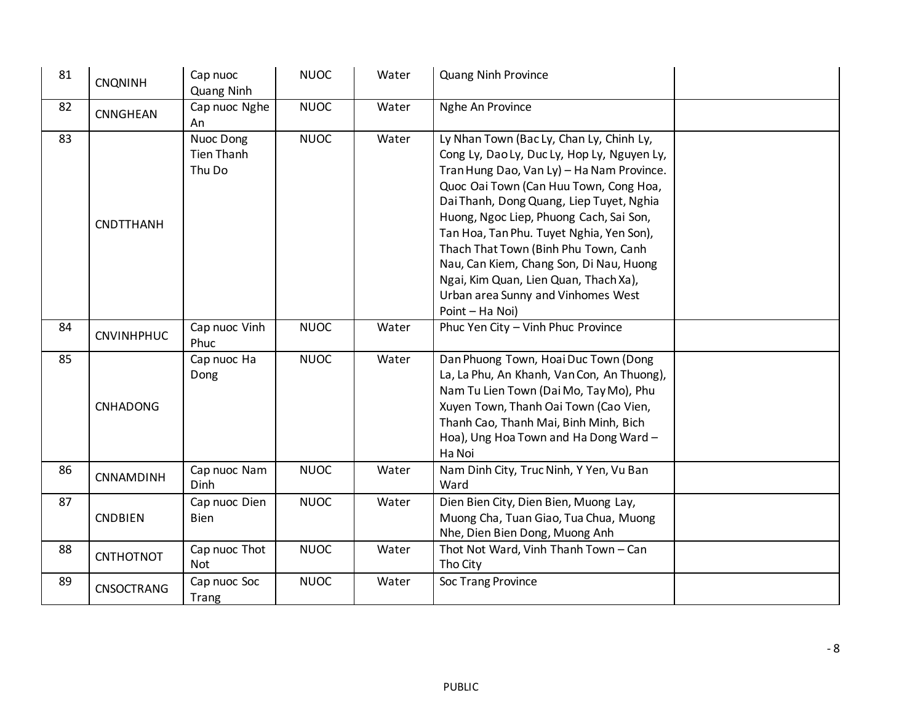| 81 | <b>CNQNINH</b>    | Cap nuoc<br>Quang Ninh                   | <b>NUOC</b> | Water | <b>Quang Ninh Province</b>                                                                                                                                                                                                                                                                                                                                                                                                                                                                             |  |
|----|-------------------|------------------------------------------|-------------|-------|--------------------------------------------------------------------------------------------------------------------------------------------------------------------------------------------------------------------------------------------------------------------------------------------------------------------------------------------------------------------------------------------------------------------------------------------------------------------------------------------------------|--|
| 82 | CNNGHEAN          | Cap nuoc Nghe<br>An                      | <b>NUOC</b> | Water | Nghe An Province                                                                                                                                                                                                                                                                                                                                                                                                                                                                                       |  |
| 83 | <b>CNDTTHANH</b>  | Nuoc Dong<br><b>Tien Thanh</b><br>Thu Do | <b>NUOC</b> | Water | Ly Nhan Town (Bac Ly, Chan Ly, Chinh Ly,<br>Cong Ly, Dao Ly, Duc Ly, Hop Ly, Nguyen Ly,<br>Tran Hung Dao, Van Ly) - Ha Nam Province.<br>Quoc Oai Town (Can Huu Town, Cong Hoa,<br>Dai Thanh, Dong Quang, Liep Tuyet, Nghia<br>Huong, Ngoc Liep, Phuong Cach, Sai Son,<br>Tan Hoa, Tan Phu. Tuyet Nghia, Yen Son),<br>Thach That Town (Binh Phu Town, Canh<br>Nau, Can Kiem, Chang Son, Di Nau, Huong<br>Ngai, Kim Quan, Lien Quan, Thach Xa),<br>Urban area Sunny and Vinhomes West<br>Point - Ha Noi) |  |
| 84 | <b>CNVINHPHUC</b> | Cap nuoc Vinh<br>Phuc                    | <b>NUOC</b> | Water | Phuc Yen City - Vinh Phuc Province                                                                                                                                                                                                                                                                                                                                                                                                                                                                     |  |
| 85 | <b>CNHADONG</b>   | Cap nuoc Ha<br>Dong                      | <b>NUOC</b> | Water | Dan Phuong Town, Hoai Duc Town (Dong<br>La, La Phu, An Khanh, Van Con, An Thuong),<br>Nam Tu Lien Town (Dai Mo, Tay Mo), Phu<br>Xuyen Town, Thanh Oai Town (Cao Vien,<br>Thanh Cao, Thanh Mai, Binh Minh, Bich<br>Hoa), Ung Hoa Town and Ha Dong Ward -<br>Ha Noi                                                                                                                                                                                                                                      |  |
| 86 | CNNAMDINH         | Cap nuoc Nam<br><b>Dinh</b>              | <b>NUOC</b> | Water | Nam Dinh City, Truc Ninh, Y Yen, Vu Ban<br>Ward                                                                                                                                                                                                                                                                                                                                                                                                                                                        |  |
| 87 | <b>CNDBIEN</b>    | Cap nuoc Dien<br><b>Bien</b>             | <b>NUOC</b> | Water | Dien Bien City, Dien Bien, Muong Lay,<br>Muong Cha, Tuan Giao, Tua Chua, Muong<br>Nhe, Dien Bien Dong, Muong Anh                                                                                                                                                                                                                                                                                                                                                                                       |  |
| 88 | <b>CNTHOTNOT</b>  | Cap nuoc Thot<br><b>Not</b>              | <b>NUOC</b> | Water | Thot Not Ward, Vinh Thanh Town - Can<br>Tho City                                                                                                                                                                                                                                                                                                                                                                                                                                                       |  |
| 89 | <b>CNSOCTRANG</b> | Cap nuoc Soc<br>Trang                    | <b>NUOC</b> | Water | Soc Trang Province                                                                                                                                                                                                                                                                                                                                                                                                                                                                                     |  |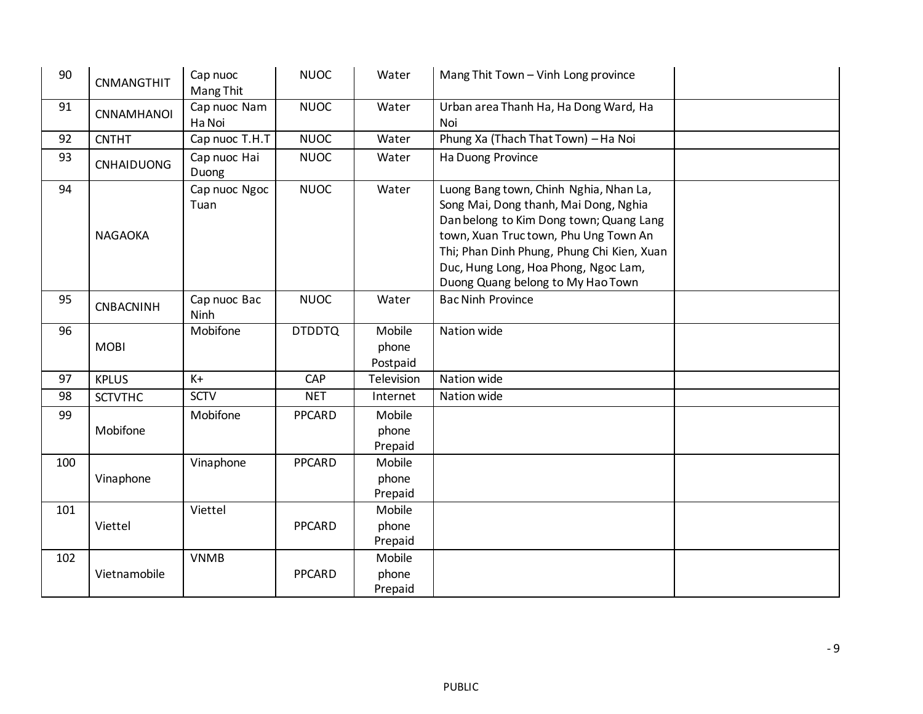| 90  | <b>CNMANGTHIT</b> | Cap nuoc<br>Mang Thit  | <b>NUOC</b>   | Water                       | Mang Thit Town - Vinh Long province                                                                                                                                                                                                                                                           |
|-----|-------------------|------------------------|---------------|-----------------------------|-----------------------------------------------------------------------------------------------------------------------------------------------------------------------------------------------------------------------------------------------------------------------------------------------|
| 91  | <b>CNNAMHANOI</b> | Cap nuoc Nam<br>Ha Noi | <b>NUOC</b>   | Water                       | Urban area Thanh Ha, Ha Dong Ward, Ha<br>Noi                                                                                                                                                                                                                                                  |
| 92  | <b>CNTHT</b>      | Cap nuoc T.H.T         | <b>NUOC</b>   | Water                       | Phung Xa (Thach That Town) - Ha Noi                                                                                                                                                                                                                                                           |
| 93  | <b>CNHAIDUONG</b> | Cap nuoc Hai<br>Duong  | <b>NUOC</b>   | Water                       | Ha Duong Province                                                                                                                                                                                                                                                                             |
| 94  | <b>NAGAOKA</b>    | Cap nuoc Ngoc<br>Tuan  | <b>NUOC</b>   | Water                       | Luong Bang town, Chinh Nghia, Nhan La,<br>Song Mai, Dong thanh, Mai Dong, Nghia<br>Dan belong to Kim Dong town; Quang Lang<br>town, Xuan Tructown, Phu Ung Town An<br>Thi; Phan Dinh Phung, Phung Chi Kien, Xuan<br>Duc, Hung Long, Hoa Phong, Ngoc Lam,<br>Duong Quang belong to My Hao Town |
| 95  | CNBACNINH         | Cap nuoc Bac<br>Ninh   | <b>NUOC</b>   | Water                       | <b>Bac Ninh Province</b>                                                                                                                                                                                                                                                                      |
| 96  | <b>MOBI</b>       | Mobifone               | <b>DTDDTQ</b> | Mobile<br>phone<br>Postpaid | Nation wide                                                                                                                                                                                                                                                                                   |
| 97  | <b>KPLUS</b>      | $K +$                  | CAP           | Television                  | Nation wide                                                                                                                                                                                                                                                                                   |
| 98  | <b>SCTVTHC</b>    | <b>SCTV</b>            | <b>NET</b>    | Internet                    | Nation wide                                                                                                                                                                                                                                                                                   |
| 99  | Mobifone          | Mobifone               | <b>PPCARD</b> | Mobile<br>phone<br>Prepaid  |                                                                                                                                                                                                                                                                                               |
| 100 | Vinaphone         | Vinaphone              | <b>PPCARD</b> | Mobile<br>phone<br>Prepaid  |                                                                                                                                                                                                                                                                                               |
| 101 | Viettel           | Viettel                | <b>PPCARD</b> | Mobile<br>phone<br>Prepaid  |                                                                                                                                                                                                                                                                                               |
| 102 | Vietnamobile      | <b>VNMB</b>            | <b>PPCARD</b> | Mobile<br>phone<br>Prepaid  |                                                                                                                                                                                                                                                                                               |